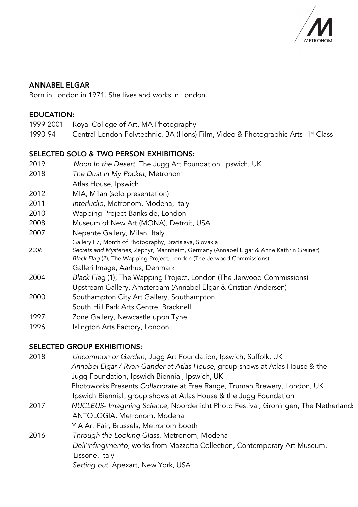

## ANNABEL ELGAR

Born in London in 1971. She lives and works in London.

#### EDUCATION:

- 1999-2001 Royal College of Art, MA Photography
- 1990-94 Central London Polytechnic, BA (Hons) Film, Video & Photographic Arts- 1<sup>st</sup> Class

#### SELECTED SOLO & TWO PERSON EXHIBITIONS:

| 2019       | Noon In the Desert, The Jugg Art Foundation, Ipswich, UK                                |
|------------|-----------------------------------------------------------------------------------------|
| 2018       | The Dust in My Pocket, Metronom                                                         |
|            | Atlas House, Ipswich                                                                    |
| 2012       | MIA, Milan (solo presentation)                                                          |
| 2011       | Interludio, Metronom, Modena, Italy                                                     |
| 2010       | Wapping Project Bankside, London                                                        |
| 2008       | Museum of New Art (MONA), Detroit, USA                                                  |
| 2007       | Nepente Gallery, Milan, Italy                                                           |
|            | Gallery F7, Month of Photography, Bratislava, Slovakia                                  |
| 2006       | Secrets and Mysteries, Zephyr, Mannheim, Germany (Annabel Elgar & Anne Kathrin Greiner) |
|            | Black Flag (2), The Wapping Project, London (The Jerwood Commissions)                   |
|            | Galleri Image, Aarhus, Denmark                                                          |
| 2004       | Black Flag (1), The Wapping Project, London (The Jerwood Commissions)                   |
|            | Upstream Gallery, Amsterdam (Annabel Elgar & Cristian Andersen)                         |
| 2000       | Southampton City Art Gallery, Southampton                                               |
|            | South Hill Park Arts Centre, Bracknell                                                  |
| 1997       | Zone Gallery, Newcastle upon Tyne                                                       |
| 100 $\ell$ | lelinetan Arte Festen I enelen                                                          |

1996 Islington Arts Factory, London

# SELECTED GROUP EXHIBITIONS:

| 2018 | Uncommon or Garden, Jugg Art Foundation, Ipswich, Suffolk, UK                       |
|------|-------------------------------------------------------------------------------------|
|      | Annabel Elgar / Ryan Gander at Atlas House, group shows at Atlas House & the        |
|      | Jugg Foundation, Ipswich Biennial, Ipswich, UK                                      |
|      | Photoworks Presents Collaborate at Free Range, Truman Brewery, London, UK           |
|      | Ipswich Biennial, group shows at Atlas House & the Jugg Foundation                  |
| 2017 | NUCLEUS- Imagining Science, Noorderlicht Photo Festival, Groningen, The Netherland: |
|      | ANTOLOGIA, Metronom, Modena                                                         |
|      | YIA Art Fair, Brussels, Metronom booth                                              |
| 2016 | Through the Looking Glass, Metronom, Modena                                         |
|      | Dell'infingimento, works from Mazzotta Collection, Contemporary Art Museum,         |
|      | Lissone, Italy                                                                      |
|      | Setting out, Apexart, New York, USA                                                 |
|      |                                                                                     |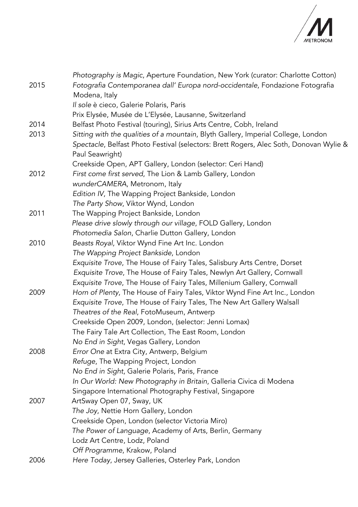

| 2015 | Photography is Magic, Aperture Foundation, New York (curator: Charlotte Cotton)<br>Fotografia Contemporanea dall' Europa nord-occidentale, Fondazione Fotografia<br>Modena, Italy |
|------|-----------------------------------------------------------------------------------------------------------------------------------------------------------------------------------|
|      | Il sole è cieco, Galerie Polaris, Paris                                                                                                                                           |
| 2014 | Prix Elysée, Musée de L'Elysée, Lausanne, Switzerland<br>Belfast Photo Festival (touring), Sirius Arts Centre, Cobh, Ireland                                                      |
| 2013 | Sitting with the qualities of a mountain, Blyth Gallery, Imperial College, London                                                                                                 |
|      | Spectacle, Belfast Photo Festival (selectors: Brett Rogers, Alec Soth, Donovan Wylie &                                                                                            |
|      | Paul Seawright)                                                                                                                                                                   |
|      | Creekside Open, APT Gallery, London (selector: Ceri Hand)                                                                                                                         |
| 2012 | First come first served, The Lion & Lamb Gallery, London                                                                                                                          |
|      | wunderCAMERA, Metronom, Italy                                                                                                                                                     |
|      | Edition IV, The Wapping Project Bankside, London                                                                                                                                  |
|      | The Party Show, Viktor Wynd, London                                                                                                                                               |
| 2011 | The Wapping Project Bankside, London                                                                                                                                              |
|      | Please drive slowly through our village, FOLD Gallery, London                                                                                                                     |
|      | Photomedia Salon, Charlie Dutton Gallery, London                                                                                                                                  |
| 2010 | Beasts Royal, Viktor Wynd Fine Art Inc. London                                                                                                                                    |
|      | The Wapping Project Bankside, London                                                                                                                                              |
|      | Exquisite Trove, The House of Fairy Tales, Salisbury Arts Centre, Dorset                                                                                                          |
|      | Exquisite Trove, The House of Fairy Tales, Newlyn Art Gallery, Cornwall                                                                                                           |
|      | Exquisite Trove, The House of Fairy Tales, Millenium Gallery, Cornwall                                                                                                            |
| 2009 | Horn of Plenty, The House of Fairy Tales, Viktor Wynd Fine Art Inc., London                                                                                                       |
|      | Exquisite Trove, The House of Fairy Tales, The New Art Gallery Walsall                                                                                                            |
|      | Theatres of the Real, FotoMuseum, Antwerp                                                                                                                                         |
|      | Creekside Open 2009, London, (selector: Jenni Lomax)                                                                                                                              |
|      | The Fairy Tale Art Collection, The East Room, London                                                                                                                              |
|      | No End in Sight, Vegas Gallery, London                                                                                                                                            |
| 2008 | Error One at Extra City, Antwerp, Belgium                                                                                                                                         |
|      | Refuge, The Wapping Project, London                                                                                                                                               |
|      | No End in Sight, Galerie Polaris, Paris, France<br>In Our World: New Photography in Britain, Galleria Civica di Modena                                                            |
|      | Singapore International Photography Festival, Singapore                                                                                                                           |
| 2007 | ArtSway Open 07, Sway, UK                                                                                                                                                         |
|      | The Joy, Nettie Horn Gallery, London                                                                                                                                              |
|      | Creekside Open, London (selector Victoria Miro)                                                                                                                                   |
|      | The Power of Language, Academy of Arts, Berlin, Germany                                                                                                                           |
|      | Lodz Art Centre, Lodz, Poland                                                                                                                                                     |
|      | Off Programme, Krakow, Poland                                                                                                                                                     |
| 2006 | Here Today, Jersey Galleries, Osterley Park, London                                                                                                                               |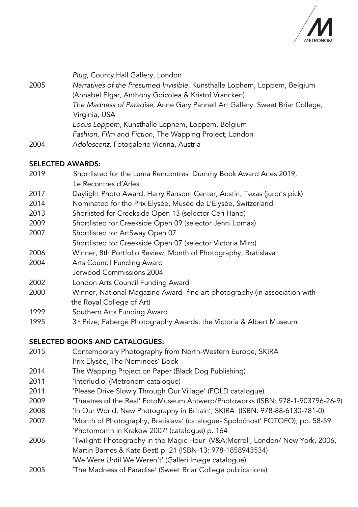

|      | Plug, County Hall Gallery, London                                            |
|------|------------------------------------------------------------------------------|
| 2005 | Narratives of the Presumed Invisible, Kunsthalle Lophem, Loppem, Belgium     |
|      | (Annabel Elgar, Anthony Goicolea & Kristof Vrancken)                         |
|      | The Madness of Paradise, Anne Gary Pannell Art Gallery, Sweet Briar College, |
|      | Virginia, USA                                                                |
|      | Locus Loppem, Kunsthalle Lophem, Loppem, Belgium                             |
|      | Fashion, Film and Fiction, The Wapping Project, London                       |
| 2004 | Adolescenz, Fotogalerie Vienna, Austria                                      |

## SELECTED AWARDS:

- 2019 Shortlisted for the Luma Rencontres Dummy Book Award Arles 2019, Le Recontres d'Arles
- 2017 Daylight Photo Award, Harry Ransom Center, Austin, Texas (juror's pick)
- 2014 Nominated for the Prix Elysée, Musée de L'Elysée, Switzerland
- 2013 Shorlisted for Creekside Open 13 (selector Ceri Hand)
- 2009 Shortlisted for Creekside Open 09 (selector Jenni Lomax)
- 2007 Shortlisted for ArtSway Open 07
- Shortlisted for Creekside Open 07 (selector Victoria Miro)
- 2006 Winner, 8th Portfolio Review, Month of Photography, Bratislava
- 2004 Arts Council Funding Award
- Jerwood Commissions 2004
- 2002 London Arts Council Funding Award
- 2000 Winner, National Magazine Award- fine art photography (in association with the Royal College of Art)
- 1999 Southern Arts Funding Award
- 1995 3<sup>rd</sup> Prize, Fabergé Photography Awards, the Victoria & Albert Museum

# SELECTED BOOKS AND CATALOGUES:

- 2015 Contemporary Photography from North-Western Europe, SKIRA Prix Elysée, The Nominees' Book
- 2014 The Wapping Project on Paper (Black Dog Publishing)
- 2011 'Interludio' (Metronom catalogue)
- 2011 'Please Drive Slowly Through Our Village' (FOLD catalogue)
- 2009 'Theatres of the Real' FotoMuseum Antwerp/Photoworks (ISBN: 978-1-903796-26-9)
- 2008 'In Our World: New Photography in Britain', SKIRA (ISBN: 978-88-6130-781-0)
- 2007 'Month of Photography, Bratislava' (catalogue- Spoločnost' FOTOFO), pp. 58-59 'Photomonth in Krakow 2007' (catalogue) p. 164
- 2006 'Twilight: Photography in the Magic Hour' (V&A:Merrell, London/ New York, 2006, Martin Barnes & Kate Best) p. 21 (ISBN-13: 978-1858943534)
	- 'We Were Until We Weren't' (Galleri Image catalogue)
- 2005 'The Madness of Paradise' (Sweet Briar College publications)